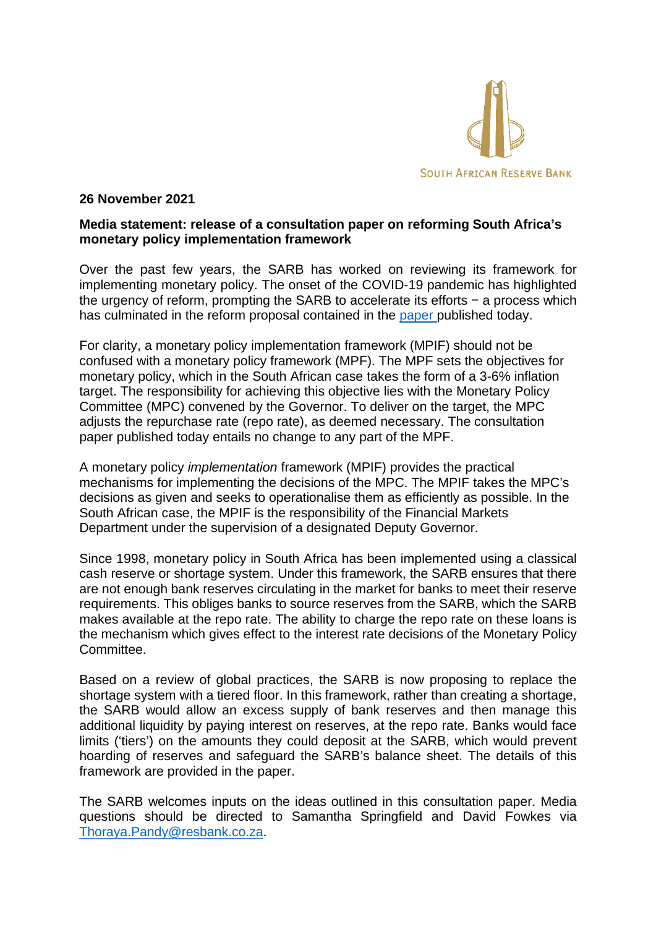

## **26 November 2021**

## **Media statement: release of a consultation paper on reforming South Africa's monetary policy implementation framework**

Over the past few years, the SARB has worked on reviewing its framework for implementing monetary policy. The onset of the COVID-19 pandemic has highlighted the urgency of reform, prompting the SARB to accelerate its efforts − a process which has culminated in the reform proposal contained in the [paper](https://www.resbank.co.za/content/dam/sarb/publications/media-releases/2021/mpif-paper/Monetary%20policy%20implementation%20Framework%20consultation%20paper.pdf) published today.

For clarity, a monetary policy implementation framework (MPIF) should not be confused with a monetary policy framework (MPF). The MPF sets the objectives for monetary policy, which in the South African case takes the form of a 3-6% inflation target. The responsibility for achieving this objective lies with the Monetary Policy Committee (MPC) convened by the Governor. To deliver on the target, the MPC adjusts the repurchase rate (repo rate), as deemed necessary. The consultation paper published today entails no change to any part of the MPF.

A monetary policy *implementation* framework (MPIF) provides the practical mechanisms for implementing the decisions of the MPC. The MPIF takes the MPC's decisions as given and seeks to operationalise them as efficiently as possible. In the South African case, the MPIF is the responsibility of the Financial Markets Department under the supervision of a designated Deputy Governor.

Since 1998, monetary policy in South Africa has been implemented using a classical cash reserve or shortage system. Under this framework, the SARB ensures that there are not enough bank reserves circulating in the market for banks to meet their reserve requirements. This obliges banks to source reserves from the SARB, which the SARB makes available at the repo rate. The ability to charge the repo rate on these loans is the mechanism which gives effect to the interest rate decisions of the Monetary Policy Committee.

Based on a review of global practices, the SARB is now proposing to replace the shortage system with a tiered floor. In this framework, rather than creating a shortage, the SARB would allow an excess supply of bank reserves and then manage this additional liquidity by paying interest on reserves, at the repo rate. Banks would face limits ('tiers') on the amounts they could deposit at the SARB, which would prevent hoarding of reserves and safeguard the SARB's balance sheet. The details of this framework are provided in the paper.

The SARB welcomes inputs on the ideas outlined in this consultation paper. Media questions should be directed to Samantha Springfield and David Fowkes via [Thoraya.Pandy@resbank.co.za.](mailto:Thoraya.Pandy@resbank.co.za)